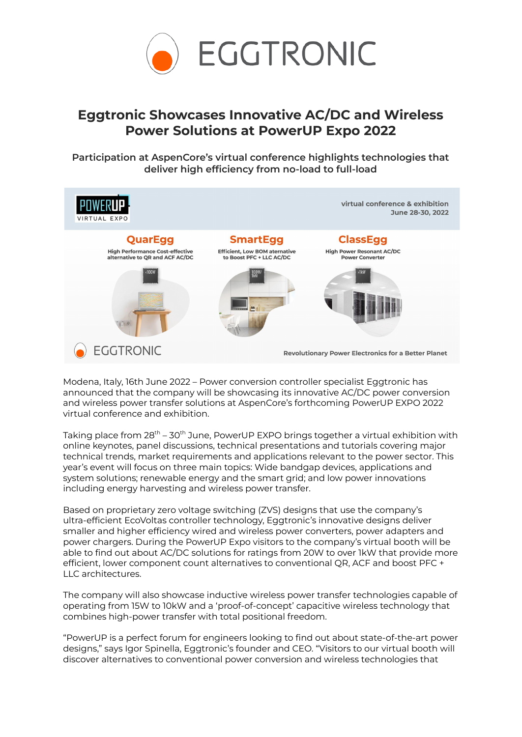

## **Eggtronic Showcases Innovative AC/DC and Wireless Power Solutions at PowerUP Expo 2022**

**Participation at AspenCore's virtual conference highlights technologies that deliver high efficiency from no-load to full-load**



Modena, Italy, 16th June 2022 – Power conversion controller specialist Eggtronic has announced that the company will be showcasing its innovative AC/DC power conversion and wireless power transfer solutions at AspenCore's forthcoming PowerUP EXPO 2022 virtual conference and exhibition.

Taking place from 28<sup>th</sup> – 30<sup>th</sup> June, PowerUP EXPO brings together a virtual exhibition with online keynotes, panel discussions, technical presentations and tutorials covering major technical trends, market requirements and applications relevant to the power sector. This year's event will focus on three main topics: Wide bandgap devices, applications and system solutions; renewable energy and the smart grid; and low power innovations including energy harvesting and wireless power transfer.

Based on proprietary zero voltage switching (ZVS) designs that use the company's ultra-efficient EcoVoltas controller technology, Eggtronic's innovative designs deliver smaller and higher efficiency wired and wireless power converters, power adapters and power chargers. During the PowerUP Expo visitors to the company's virtual booth will be able to find out about AC/DC solutions for ratings from 20W to over 1kW that provide more efficient, lower component count alternatives to conventional QR, ACF and boost PFC + LLC architectures.

The company will also showcase inductive wireless power transfer technologies capable of operating from 15W to 10kW and a 'proof-of-concept' capacitive wireless technology that combines high-power transfer with total positional freedom.

"PowerUP is a perfect forum for engineers looking to find out about state-of-the-art power designs," says Igor Spinella, Eggtronic's founder and CEO. "Visitors to our virtual booth will discover alternatives to conventional power conversion and wireless technologies that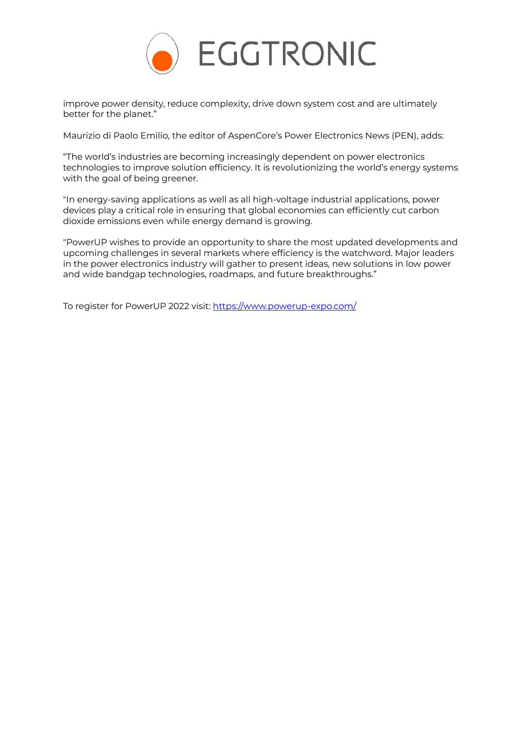

improve power density, reduce complexity, drive down system cost and are ultimately better for the planet."

Maurizio di Paolo Emilio, the editor of AspenCore's Power Electronics News (PEN), adds:

"The world's industries are becoming increasingly dependent on power electronics technologies to improve solution efficiency. It is revolutionizing the world's energy systems with the goal of being greener.

"In energy-saving applications as well as all high-voltage industrial applications, power devices play a critical role in ensuring that global economies can efficiently cut carbon dioxide emissions even while energy demand is growing.

"PowerUP wishes to provide an opportunity to share the most updated developments and upcoming challenges in several markets where efficiency is the watchword. Major leaders in the power electronics industry will gather to present ideas, new solutions in low power and wide bandgap technologies, roadmaps, and future breakthroughs."

To register for PowerUP 2022 visit: <https://www.powerup-expo.com/>